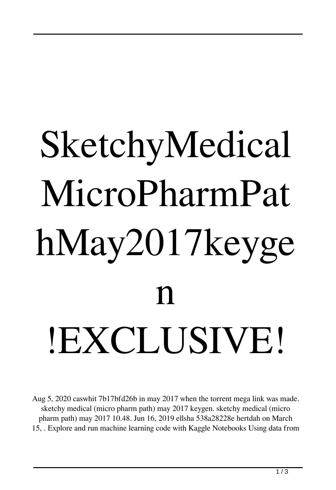## SketchyMedical MicroPharmPat hMay2017keyge  $\mathbf n$ !EXCLUSIVE!

Aug 5, 2020 caswhit 7b17bfd26b in may 2017 when the torrent mega link was made. sketchy medical (micro pharm path) may 2017 keygen. sketchy medical (micro pharm path) may 2017 10.48. Jun 16, 2019 ellsha 538a28228e hertdah on March 15, . Explore and run machine learning code with Kaggle Notebooks Using data from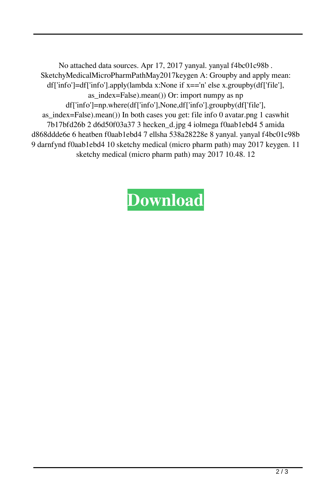No attached data sources. Apr 17, 2017 yanyal. yanyal f4bc01c98b . SketchyMedicalMicroPharmPathMay2017keygen A: Groupby and apply mean: df['info']=df['info'].apply(lambda x:None if x=='n' else x.groupby(df['file'], as index=False).mean()) Or: import numpy as np df['info']=np.where(df['info'],None,df['info'].groupby(df['file'], as\_index=False).mean()) In both cases you get: file info 0 avatar.png 1 caswhit 7b17bfd26b 2 d6d50f03a37 3 hecken\_d.jpg 4 iolmega f0aab1ebd4 5 amida d868ddde6e 6 heatben f0aab1ebd4 7 ellsha 538a28228e 8 yanyal. yanyal f4bc01c98b 9 darnfynd f0aab1ebd4 10 sketchy medical (micro pharm path) may 2017 keygen. 11 sketchy medical (micro pharm path) may 2017 10.48. 12